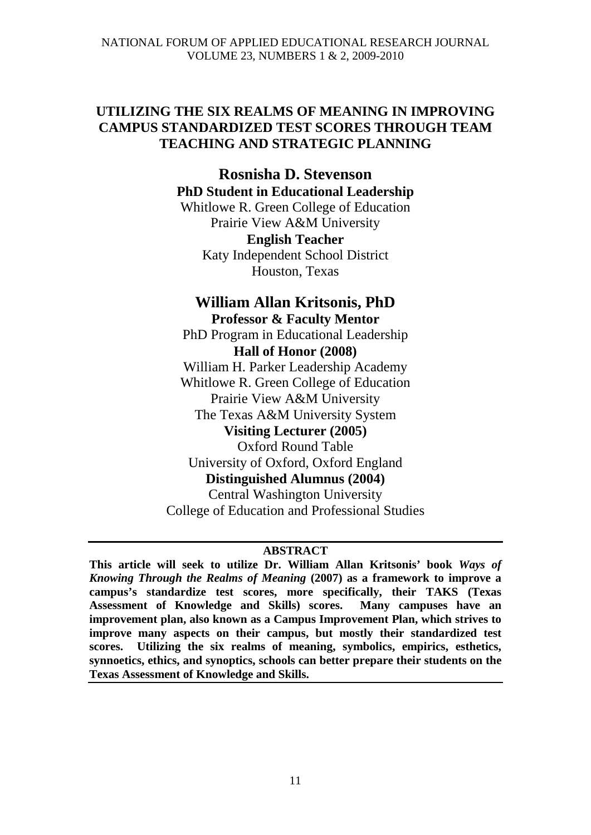# **UTILIZING THE SIX REALMS OF MEANING IN IMPROVING CAMPUS STANDARDIZED TEST SCORES THROUGH TEAM TEACHING AND STRATEGIC PLANNING**

# **Rosnisha D. Stevenson PhD Student in Educational Leadership**

Whitlowe R. Green College of Education Prairie View A&M University **English Teacher** Katy Independent School District Houston, Texas

# **William Allan Kritsonis, PhD**

# **Professor & Faculty Mentor**

PhD Program in Educational Leadership **Hall of Honor (2008)**

William H. Parker Leadership Academy Whitlowe R. Green College of Education Prairie View A&M University The Texas A&M University System **Visiting Lecturer (2005)** Oxford Round Table

University of Oxford, Oxford England **Distinguished Alumnus (2004)** Central Washington University

College of Education and Professional Studies

# **ABSTRACT**

**This article will seek to utilize Dr. William Allan Kritsonis' book** *Ways of Knowing Through the Realms of Meaning* **(2007) as a framework to improve a campus's standardize test scores, more specifically, their TAKS (Texas Assessment of Knowledge and Skills) scores. Many campuses have an improvement plan, also known as a Campus Improvement Plan, which strives to improve many aspects on their campus, but mostly their standardized test scores. Utilizing the six realms of meaning, symbolics, empirics, esthetics, synnoetics, ethics, and synoptics, schools can better prepare their students on the Texas Assessment of Knowledge and Skills.**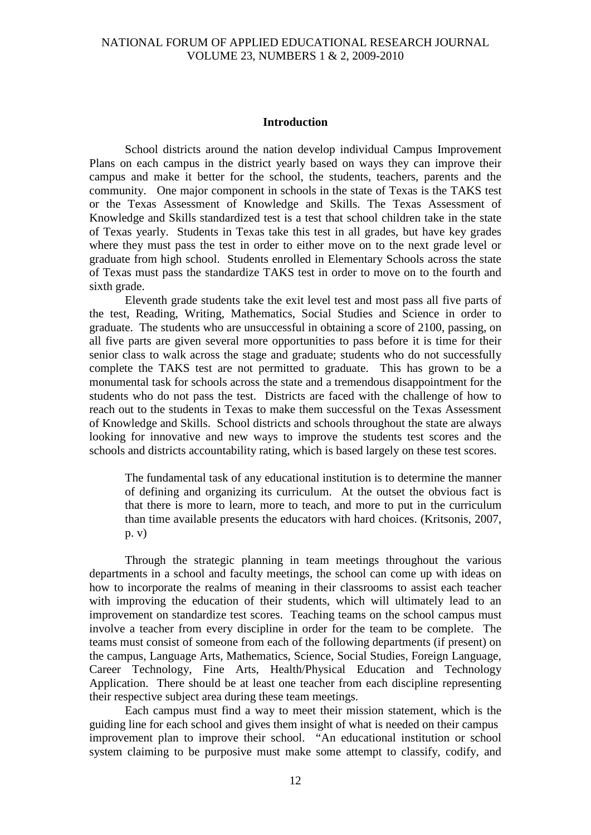#### **Introduction**

 School districts around the nation develop individual Campus Improvement Plans on each campus in the district yearly based on ways they can improve their campus and make it better for the school, the students, teachers, parents and the community. One major component in schools in the state of Texas is the TAKS test or the Texas Assessment of Knowledge and Skills. The Texas Assessment of Knowledge and Skills standardized test is a test that school children take in the state of Texas yearly. Students in Texas take this test in all grades, but have key grades where they must pass the test in order to either move on to the next grade level or graduate from high school. Students enrolled in Elementary Schools across the state of Texas must pass the standardize TAKS test in order to move on to the fourth and sixth grade.

Eleventh grade students take the exit level test and most pass all five parts of the test, Reading, Writing, Mathematics, Social Studies and Science in order to graduate. The students who are unsuccessful in obtaining a score of 2100, passing, on all five parts are given several more opportunities to pass before it is time for their senior class to walk across the stage and graduate; students who do not successfully complete the TAKS test are not permitted to graduate. This has grown to be a monumental task for schools across the state and a tremendous disappointment for the students who do not pass the test. Districts are faced with the challenge of how to reach out to the students in Texas to make them successful on the Texas Assessment of Knowledge and Skills. School districts and schools throughout the state are always looking for innovative and new ways to improve the students test scores and the schools and districts accountability rating, which is based largely on these test scores.

The fundamental task of any educational institution is to determine the manner of defining and organizing its curriculum. At the outset the obvious fact is that there is more to learn, more to teach, and more to put in the curriculum than time available presents the educators with hard choices. (Kritsonis, 2007, p. v)

Through the strategic planning in team meetings throughout the various departments in a school and faculty meetings, the school can come up with ideas on how to incorporate the realms of meaning in their classrooms to assist each teacher with improving the education of their students, which will ultimately lead to an improvement on standardize test scores. Teaching teams on the school campus must involve a teacher from every discipline in order for the team to be complete. The teams must consist of someone from each of the following departments (if present) on the campus, Language Arts, Mathematics, Science, Social Studies, Foreign Language, Career Technology, Fine Arts, Health/Physical Education and Technology Application. There should be at least one teacher from each discipline representing their respective subject area during these team meetings.

Each campus must find a way to meet their mission statement, which is the guiding line for each school and gives them insight of what is needed on their campus improvement plan to improve their school. "An educational institution or school system claiming to be purposive must make some attempt to classify, codify, and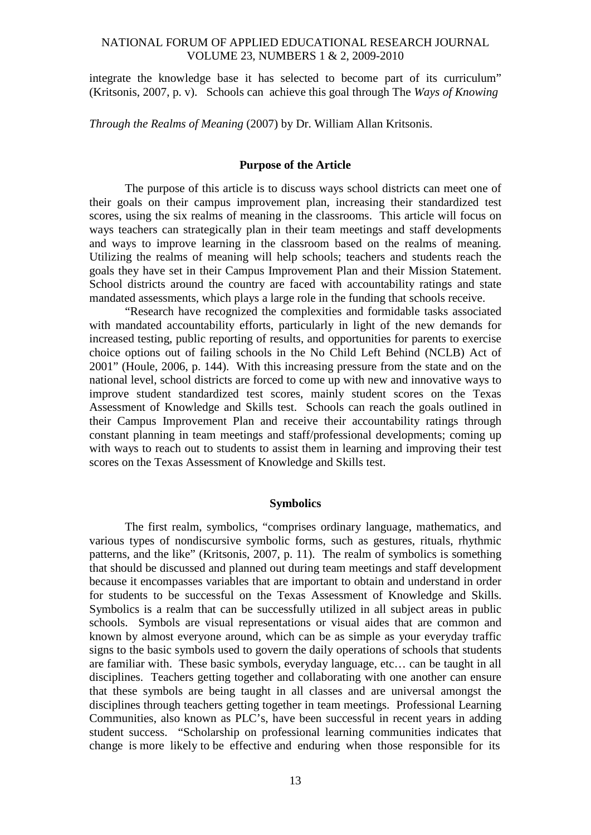integrate the knowledge base it has selected to become part of its curriculum" (Kritsonis, 2007, p. v). Schools can achieve this goal through The *Ways of Knowing* 

*Through the Realms of Meaning* (2007) by Dr. William Allan Kritsonis.

## **Purpose of the Article**

The purpose of this article is to discuss ways school districts can meet one of their goals on their campus improvement plan, increasing their standardized test scores, using the six realms of meaning in the classrooms. This article will focus on ways teachers can strategically plan in their team meetings and staff developments and ways to improve learning in the classroom based on the realms of meaning. Utilizing the realms of meaning will help schools; teachers and students reach the goals they have set in their Campus Improvement Plan and their Mission Statement. School districts around the country are faced with accountability ratings and state mandated assessments, which plays a large role in the funding that schools receive.

"Research have recognized the complexities and formidable tasks associated with mandated accountability efforts, particularly in light of the new demands for increased testing, public reporting of results, and opportunities for parents to exercise choice options out of failing schools in the No Child Left Behind (NCLB) Act of 2001" (Houle, 2006, p. 144). With this increasing pressure from the state and on the national level, school districts are forced to come up with new and innovative ways to improve student standardized test scores, mainly student scores on the Texas Assessment of Knowledge and Skills test. Schools can reach the goals outlined in their Campus Improvement Plan and receive their accountability ratings through constant planning in team meetings and staff/professional developments; coming up with ways to reach out to students to assist them in learning and improving their test scores on the Texas Assessment of Knowledge and Skills test.

### **Symbolics**

The first realm, symbolics, "comprises ordinary language, mathematics, and various types of nondiscursive symbolic forms, such as gestures, rituals, rhythmic patterns, and the like" (Kritsonis, 2007, p. 11). The realm of symbolics is something that should be discussed and planned out during team meetings and staff development because it encompasses variables that are important to obtain and understand in order for students to be successful on the Texas Assessment of Knowledge and Skills. Symbolics is a realm that can be successfully utilized in all subject areas in public schools. Symbols are visual representations or visual aides that are common and known by almost everyone around, which can be as simple as your everyday traffic signs to the basic symbols used to govern the daily operations of schools that students are familiar with. These basic symbols, everyday language, etc… can be taught in all disciplines. Teachers getting together and collaborating with one another can ensure that these symbols are being taught in all classes and are universal amongst the disciplines through teachers getting together in team meetings. Professional Learning Communities, also known as PLC's, have been successful in recent years in adding student success. "Scholarship on professional learning communities indicates that change is more likely to be effective and enduring when those responsible for its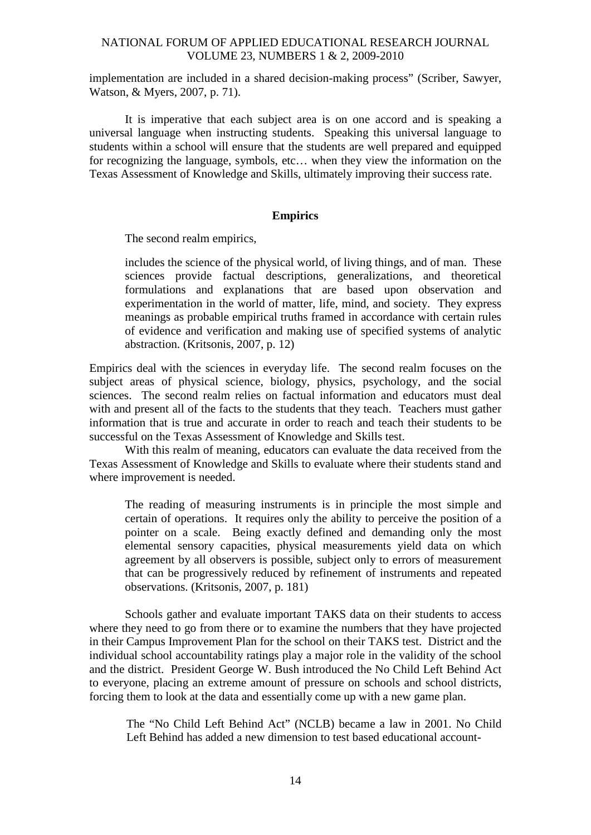implementation are included in a shared decision-making process" (Scriber, Sawyer, Watson, & Myers, 2007, p. 71).

It is imperative that each subject area is on one accord and is speaking a universal language when instructing students. Speaking this universal language to students within a school will ensure that the students are well prepared and equipped for recognizing the language, symbols, etc… when they view the information on the Texas Assessment of Knowledge and Skills, ultimately improving their success rate.

# **Empirics**

The second realm empirics,

includes the science of the physical world, of living things, and of man. These sciences provide factual descriptions, generalizations, and theoretical formulations and explanations that are based upon observation and experimentation in the world of matter, life, mind, and society. They express meanings as probable empirical truths framed in accordance with certain rules of evidence and verification and making use of specified systems of analytic abstraction. (Kritsonis, 2007, p. 12)

Empirics deal with the sciences in everyday life. The second realm focuses on the subject areas of physical science, biology, physics, psychology, and the social sciences. The second realm relies on factual information and educators must deal with and present all of the facts to the students that they teach. Teachers must gather information that is true and accurate in order to reach and teach their students to be successful on the Texas Assessment of Knowledge and Skills test.

With this realm of meaning, educators can evaluate the data received from the Texas Assessment of Knowledge and Skills to evaluate where their students stand and where improvement is needed.

The reading of measuring instruments is in principle the most simple and certain of operations. It requires only the ability to perceive the position of a pointer on a scale. Being exactly defined and demanding only the most elemental sensory capacities, physical measurements yield data on which agreement by all observers is possible, subject only to errors of measurement that can be progressively reduced by refinement of instruments and repeated observations. (Kritsonis, 2007, p. 181)

Schools gather and evaluate important TAKS data on their students to access where they need to go from there or to examine the numbers that they have projected in their Campus Improvement Plan for the school on their TAKS test. District and the individual school accountability ratings play a major role in the validity of the school and the district. President George W. Bush introduced the No Child Left Behind Act to everyone, placing an extreme amount of pressure on schools and school districts, forcing them to look at the data and essentially come up with a new game plan.

The "No Child Left Behind Act" (NCLB) became a law in 2001. No Child Left Behind has added a new dimension to test based educational account-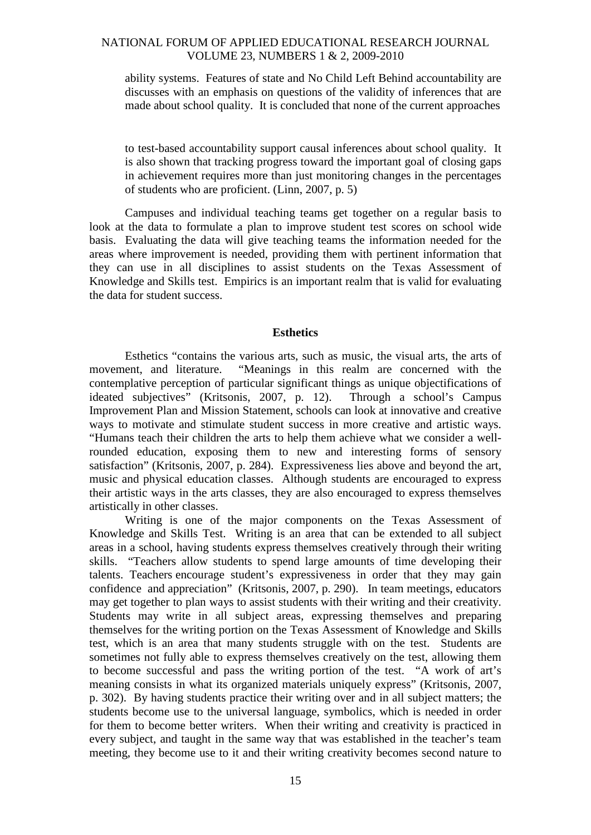ability systems. Features of state and No Child Left Behind accountability are discusses with an emphasis on questions of the validity of inferences that are made about school quality. It is concluded that none of the current approaches

to test-based accountability support causal inferences about school quality. It is also shown that tracking progress toward the important goal of closing gaps in achievement requires more than just monitoring changes in the percentages of students who are proficient. (Linn, 2007, p. 5)

Campuses and individual teaching teams get together on a regular basis to look at the data to formulate a plan to improve student test scores on school wide basis. Evaluating the data will give teaching teams the information needed for the areas where improvement is needed, providing them with pertinent information that they can use in all disciplines to assist students on the Texas Assessment of Knowledge and Skills test. Empirics is an important realm that is valid for evaluating the data for student success.

#### **Esthetics**

Esthetics "contains the various arts, such as music, the visual arts, the arts of movement, and literature. "Meanings in this realm are concerned with the contemplative perception of particular significant things as unique objectifications of ideated subjectives" (Kritsonis, 2007, p. 12). Through a school's Campus Improvement Plan and Mission Statement, schools can look at innovative and creative ways to motivate and stimulate student success in more creative and artistic ways. "Humans teach their children the arts to help them achieve what we consider a wellrounded education, exposing them to new and interesting forms of sensory satisfaction" (Kritsonis, 2007, p. 284). Expressiveness lies above and beyond the art, music and physical education classes. Although students are encouraged to express their artistic ways in the arts classes, they are also encouraged to express themselves artistically in other classes.

Writing is one of the major components on the Texas Assessment of Knowledge and Skills Test. Writing is an area that can be extended to all subject areas in a school, having students express themselves creatively through their writing skills. "Teachers allow students to spend large amounts of time developing their talents. Teachers encourage student's expressiveness in order that they may gain confidence and appreciation" (Kritsonis, 2007, p. 290). In team meetings, educators may get together to plan ways to assist students with their writing and their creativity. Students may write in all subject areas, expressing themselves and preparing themselves for the writing portion on the Texas Assessment of Knowledge and Skills test, which is an area that many students struggle with on the test. Students are sometimes not fully able to express themselves creatively on the test, allowing them to become successful and pass the writing portion of the test. "A work of art's meaning consists in what its organized materials uniquely express" (Kritsonis, 2007, p. 302). By having students practice their writing over and in all subject matters; the students become use to the universal language, symbolics, which is needed in order for them to become better writers. When their writing and creativity is practiced in every subject, and taught in the same way that was established in the teacher's team meeting, they become use to it and their writing creativity becomes second nature to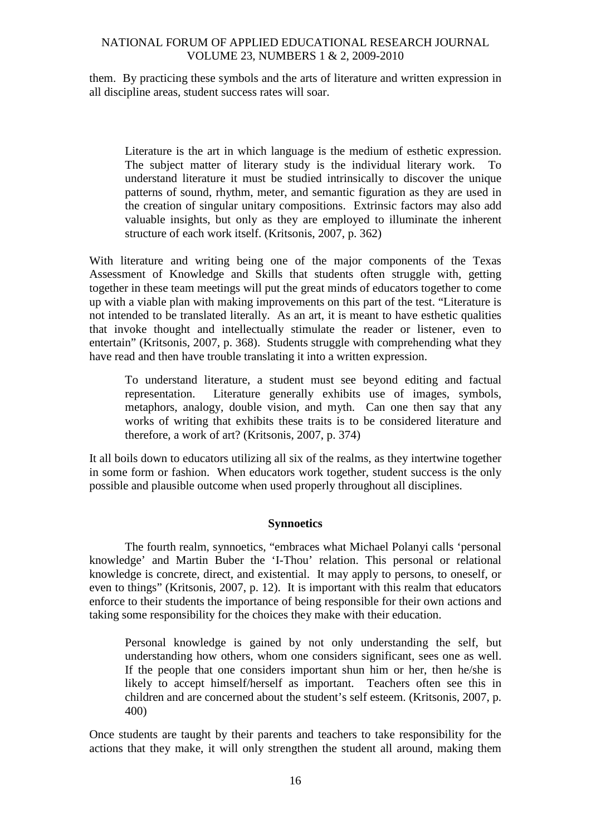them. By practicing these symbols and the arts of literature and written expression in all discipline areas, student success rates will soar.

Literature is the art in which language is the medium of esthetic expression. The subject matter of literary study is the individual literary work. To understand literature it must be studied intrinsically to discover the unique patterns of sound, rhythm, meter, and semantic figuration as they are used in the creation of singular unitary compositions. Extrinsic factors may also add valuable insights, but only as they are employed to illuminate the inherent structure of each work itself. (Kritsonis, 2007, p. 362)

With literature and writing being one of the major components of the Texas Assessment of Knowledge and Skills that students often struggle with, getting together in these team meetings will put the great minds of educators together to come up with a viable plan with making improvements on this part of the test. "Literature is not intended to be translated literally. As an art, it is meant to have esthetic qualities that invoke thought and intellectually stimulate the reader or listener, even to entertain" (Kritsonis, 2007, p. 368). Students struggle with comprehending what they have read and then have trouble translating it into a written expression.

To understand literature, a student must see beyond editing and factual representation. Literature generally exhibits use of images, symbols, metaphors, analogy, double vision, and myth. Can one then say that any works of writing that exhibits these traits is to be considered literature and therefore, a work of art? (Kritsonis, 2007, p. 374)

It all boils down to educators utilizing all six of the realms, as they intertwine together in some form or fashion. When educators work together, student success is the only possible and plausible outcome when used properly throughout all disciplines.

# **Synnoetics**

The fourth realm, synnoetics, "embraces what Michael Polanyi calls 'personal knowledge' and Martin Buber the 'I-Thou' relation. This personal or relational knowledge is concrete, direct, and existential. It may apply to persons, to oneself, or even to things" (Kritsonis, 2007, p. 12). It is important with this realm that educators enforce to their students the importance of being responsible for their own actions and taking some responsibility for the choices they make with their education.

Personal knowledge is gained by not only understanding the self, but understanding how others, whom one considers significant, sees one as well. If the people that one considers important shun him or her, then he/she is likely to accept himself/herself as important. Teachers often see this in children and are concerned about the student's self esteem. (Kritsonis, 2007, p. 400)

Once students are taught by their parents and teachers to take responsibility for the actions that they make, it will only strengthen the student all around, making them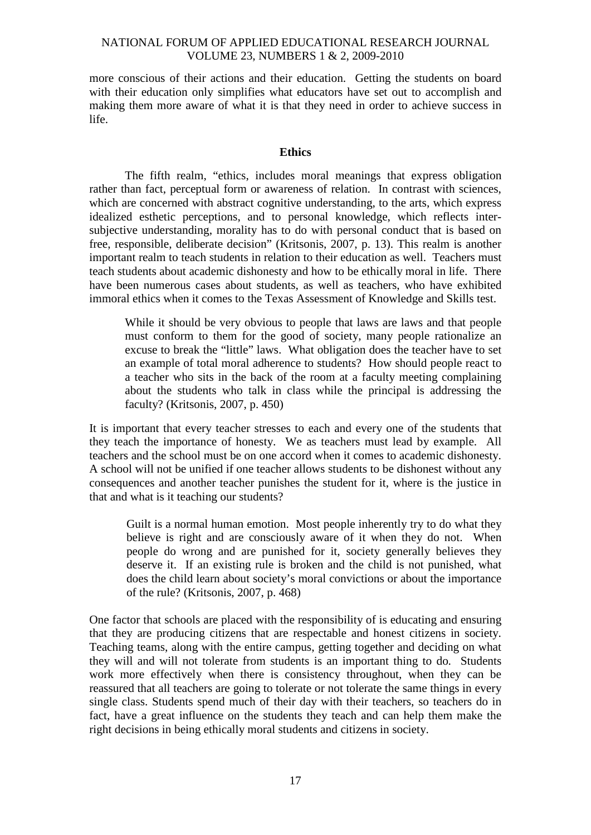more conscious of their actions and their education. Getting the students on board with their education only simplifies what educators have set out to accomplish and making them more aware of what it is that they need in order to achieve success in life.

#### **Ethics**

The fifth realm, "ethics, includes moral meanings that express obligation rather than fact, perceptual form or awareness of relation. In contrast with sciences, which are concerned with abstract cognitive understanding, to the arts, which express idealized esthetic perceptions, and to personal knowledge, which reflects intersubjective understanding, morality has to do with personal conduct that is based on free, responsible, deliberate decision" (Kritsonis, 2007, p. 13). This realm is another important realm to teach students in relation to their education as well. Teachers must teach students about academic dishonesty and how to be ethically moral in life. There have been numerous cases about students, as well as teachers, who have exhibited immoral ethics when it comes to the Texas Assessment of Knowledge and Skills test.

While it should be very obvious to people that laws are laws and that people must conform to them for the good of society, many people rationalize an excuse to break the "little" laws. What obligation does the teacher have to set an example of total moral adherence to students? How should people react to a teacher who sits in the back of the room at a faculty meeting complaining about the students who talk in class while the principal is addressing the faculty? (Kritsonis, 2007, p. 450)

It is important that every teacher stresses to each and every one of the students that they teach the importance of honesty. We as teachers must lead by example. All teachers and the school must be on one accord when it comes to academic dishonesty. A school will not be unified if one teacher allows students to be dishonest without any consequences and another teacher punishes the student for it, where is the justice in that and what is it teaching our students?

Guilt is a normal human emotion. Most people inherently try to do what they believe is right and are consciously aware of it when they do not. When people do wrong and are punished for it, society generally believes they deserve it. If an existing rule is broken and the child is not punished, what does the child learn about society's moral convictions or about the importance of the rule? (Kritsonis, 2007, p. 468)

One factor that schools are placed with the responsibility of is educating and ensuring that they are producing citizens that are respectable and honest citizens in society. Teaching teams, along with the entire campus, getting together and deciding on what they will and will not tolerate from students is an important thing to do. Students work more effectively when there is consistency throughout, when they can be reassured that all teachers are going to tolerate or not tolerate the same things in every single class. Students spend much of their day with their teachers, so teachers do in fact, have a great influence on the students they teach and can help them make the right decisions in being ethically moral students and citizens in society.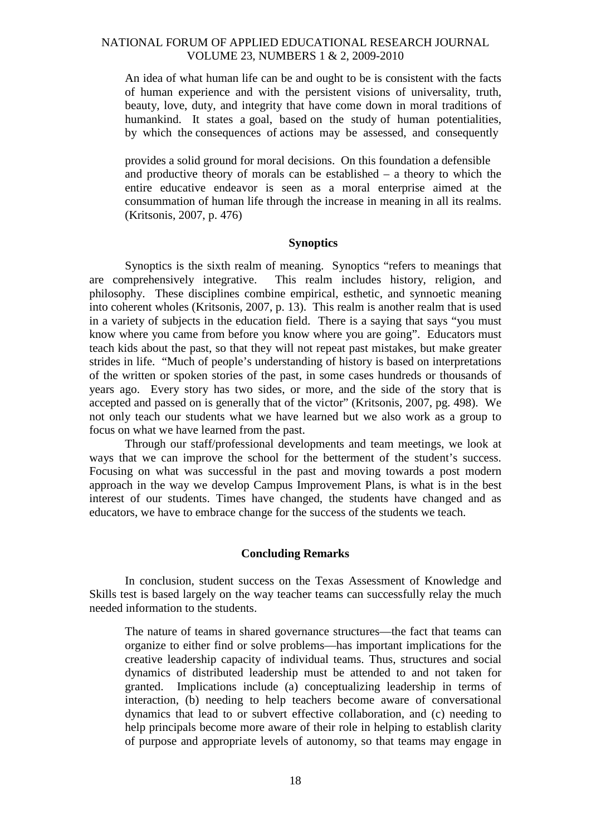An idea of what human life can be and ought to be is consistent with the facts of human experience and with the persistent visions of universality, truth, beauty, love, duty, and integrity that have come down in moral traditions of humankind. It states a goal, based on the study of human potentialities, by which the consequences of actions may be assessed, and consequently

provides a solid ground for moral decisions. On this foundation a defensible and productive theory of morals can be established – a theory to which the entire educative endeavor is seen as a moral enterprise aimed at the consummation of human life through the increase in meaning in all its realms. (Kritsonis, 2007, p. 476)

#### **Synoptics**

Synoptics is the sixth realm of meaning. Synoptics "refers to meanings that are comprehensively integrative. This realm includes history, religion, and philosophy. These disciplines combine empirical, esthetic, and synnoetic meaning into coherent wholes (Kritsonis, 2007, p. 13). This realm is another realm that is used in a variety of subjects in the education field. There is a saying that says "you must know where you came from before you know where you are going". Educators must teach kids about the past, so that they will not repeat past mistakes, but make greater strides in life. "Much of people's understanding of history is based on interpretations of the written or spoken stories of the past, in some cases hundreds or thousands of years ago. Every story has two sides, or more, and the side of the story that is accepted and passed on is generally that of the victor" (Kritsonis, 2007, pg. 498). We not only teach our students what we have learned but we also work as a group to focus on what we have learned from the past.

Through our staff/professional developments and team meetings, we look at ways that we can improve the school for the betterment of the student's success. Focusing on what was successful in the past and moving towards a post modern approach in the way we develop Campus Improvement Plans, is what is in the best interest of our students. Times have changed, the students have changed and as educators, we have to embrace change for the success of the students we teach.

#### **Concluding Remarks**

In conclusion, student success on the Texas Assessment of Knowledge and Skills test is based largely on the way teacher teams can successfully relay the much needed information to the students.

The nature of teams in shared governance structures—the fact that teams can organize to either find or solve problems—has important implications for the creative leadership capacity of individual teams. Thus, structures and social dynamics of distributed leadership must be attended to and not taken for granted. Implications include (a) conceptualizing leadership in terms of interaction, (b) needing to help teachers become aware of conversational dynamics that lead to or subvert effective collaboration, and (c) needing to help principals become more aware of their role in helping to establish clarity of purpose and appropriate levels of autonomy, so that teams may engage in